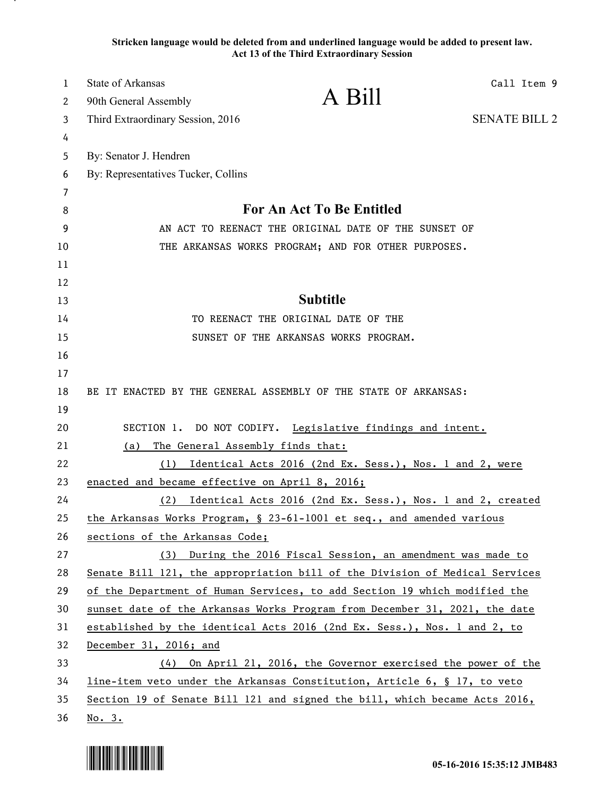**Stricken language would be deleted from and underlined language would be added to present law. Act 13 of the Third Extraordinary Session**

| $\mathbf{1}$ | State of Arkansas<br>Call Item 9                                            |  |
|--------------|-----------------------------------------------------------------------------|--|
| 2            | A Bill<br>90th General Assembly                                             |  |
| 3            | <b>SENATE BILL 2</b><br>Third Extraordinary Session, 2016                   |  |
| 4            |                                                                             |  |
| 5            | By: Senator J. Hendren                                                      |  |
| 6            | By: Representatives Tucker, Collins                                         |  |
| 7            |                                                                             |  |
| 8            | For An Act To Be Entitled                                                   |  |
| 9            | AN ACT TO REENACT THE ORIGINAL DATE OF THE SUNSET OF                        |  |
| 10           | THE ARKANSAS WORKS PROGRAM; AND FOR OTHER PURPOSES.                         |  |
| 11           |                                                                             |  |
| 12           | <b>Subtitle</b>                                                             |  |
| 13           |                                                                             |  |
| 14           | TO REENACT THE ORIGINAL DATE OF THE                                         |  |
| 15           | SUNSET OF THE ARKANSAS WORKS PROGRAM.                                       |  |
| 16           |                                                                             |  |
| 17           |                                                                             |  |
| 18           | BE IT ENACTED BY THE GENERAL ASSEMBLY OF THE STATE OF ARKANSAS:             |  |
| 19<br>20     | SECTION 1. DO NOT CODIFY. Legislative findings and intent.                  |  |
| 21           | The General Assembly finds that:<br>(a)                                     |  |
| 22           | Identical Acts 2016 (2nd Ex. Sess.), Nos. 1 and 2, were<br>(1)              |  |
| 23           | enacted and became effective on April 8, 2016;                              |  |
| 24           | Identical Acts 2016 (2nd Ex. Sess.), Nos. 1 and 2, created<br>(2)           |  |
| 25           | the Arkansas Works Program, § 23-61-1001 et seq., and amended various       |  |
| 26           | sections of the Arkansas Code;                                              |  |
| 27           | (3) During the 2016 Fiscal Session, an amendment was made to                |  |
| 28           | Senate Bill 121, the appropriation bill of the Division of Medical Services |  |
| 29           | of the Department of Human Services, to add Section 19 which modified the   |  |
| 30           | sunset date of the Arkansas Works Program from December 31, 2021, the date  |  |
| 31           | established by the identical Acts 2016 (2nd Ex. Sess.), Nos. 1 and 2, to    |  |
| 32           | December 31, 2016; and                                                      |  |
| 33           | (4) On April 21, 2016, the Governor exercised the power of the              |  |
| 34           | line-item veto under the Arkansas Constitution, Article 6, § 17, to veto    |  |
| 35           | Section 19 of Senate Bill 121 and signed the bill, which became Acts 2016,  |  |
| 36           | No. 3.                                                                      |  |